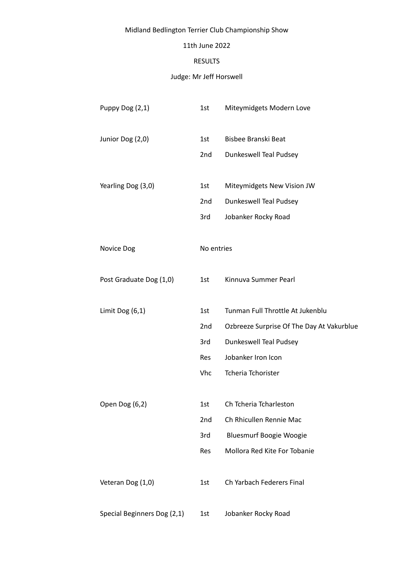# Midland Bedlington Terrier Club Championship Show

### 11th June 2022

### RESULTS

# Judge: Mr Jeff Horswell

| Puppy Dog (2,1)             | 1st        | Miteymidgets Modern Love                  |
|-----------------------------|------------|-------------------------------------------|
| Junior Dog (2,0)            | 1st        | Bisbee Branski Beat                       |
|                             | 2nd        | Dunkeswell Teal Pudsey                    |
| Yearling Dog (3,0)          | 1st        | Miteymidgets New Vision JW                |
|                             | 2nd        | Dunkeswell Teal Pudsey                    |
|                             | 3rd        | Jobanker Rocky Road                       |
| Novice Dog                  | No entries |                                           |
| Post Graduate Dog (1,0)     | 1st        | Kinnuva Summer Pearl                      |
| Limit Dog $(6,1)$           | 1st        | Tunman Full Throttle At Jukenblu          |
|                             | 2nd        | Ozbreeze Surprise Of The Day At Vakurblue |
|                             | 3rd        | Dunkeswell Teal Pudsey                    |
|                             | <b>Res</b> | Jobanker Iron Icon                        |
|                             | <b>Vhc</b> | Tcheria Tchorister                        |
| Open Dog (6,2)              | 1st        | Ch Tcheria Tcharleston                    |
|                             | 2nd        | Ch Rhicullen Rennie Mac                   |
|                             | 3rd        | <b>Bluesmurf Boogie Woogie</b>            |
|                             | Res        | Mollora Red Kite For Tobanie              |
| Veteran Dog (1,0)           | 1st        | Ch Yarbach Federers Final                 |
| Special Beginners Dog (2,1) | 1st        | Jobanker Rocky Road                       |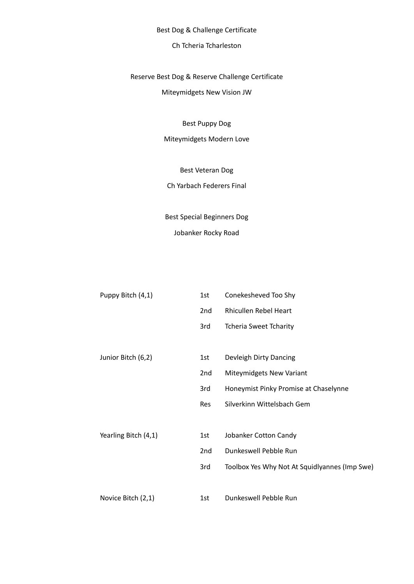Best Dog & Challenge Certificate

# Ch Tcheria Tcharleston

# Reserve Best Dog & Reserve Challenge Certificate

Miteymidgets New Vision JW

Best Puppy Dog

Miteymidgets Modern Love

Best Veteran Dog

Ch Yarbach Federers Final

Best Special Beginners Dog Jobanker Rocky Road

| Puppy Bitch (4,1)    | 1st        | Conekesheved Too Shy                          |
|----------------------|------------|-----------------------------------------------|
|                      | 2nd        | Rhicullen Rebel Heart                         |
|                      | 3rd        | <b>Tcheria Sweet Tcharity</b>                 |
|                      |            |                                               |
| Junior Bitch (6,2)   | 1st        | Devleigh Dirty Dancing                        |
|                      | 2nd        | Miteymidgets New Variant                      |
|                      | 3rd        | Honeymist Pinky Promise at Chaselynne         |
|                      | <b>Res</b> | Silverkinn Wittelsbach Gem                    |
|                      |            |                                               |
| Yearling Bitch (4,1) | 1st        | Jobanker Cotton Candy                         |
|                      | 2nd        | Dunkeswell Pebble Run                         |
|                      | 3rd        | Toolbox Yes Why Not At Squidlyannes (Imp Swe) |
|                      |            |                                               |
| Novice Bitch (2,1)   | 1st        | Dunkeswell Pebble Run                         |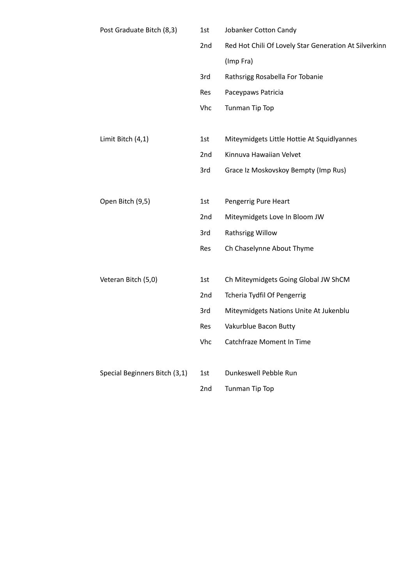| Post Graduate Bitch (8,3)     | 1st | Jobanker Cotton Candy                                 |
|-------------------------------|-----|-------------------------------------------------------|
|                               | 2nd | Red Hot Chili Of Lovely Star Generation At Silverkinn |
|                               |     | (Imp Fra)                                             |
|                               | 3rd | Rathsrigg Rosabella For Tobanie                       |
|                               | Res | Paceypaws Patricia                                    |
|                               | Vhc | Tunman Tip Top                                        |
|                               |     |                                                       |
| Limit Bitch (4,1)             | 1st | Miteymidgets Little Hottie At Squidlyannes            |
|                               | 2nd | Kinnuva Hawaiian Velvet                               |
|                               | 3rd | Grace Iz Moskovskoy Bempty (Imp Rus)                  |
|                               |     |                                                       |
| Open Bitch (9,5)              | 1st | Pengerrig Pure Heart                                  |
|                               | 2nd | Miteymidgets Love In Bloom JW                         |
|                               | 3rd | Rathsrigg Willow                                      |
|                               | Res | Ch Chaselynne About Thyme                             |
|                               |     |                                                       |
| Veteran Bitch (5,0)           | 1st | Ch Miteymidgets Going Global JW ShCM                  |
|                               | 2nd | Tcheria Tydfil Of Pengerrig                           |
|                               | 3rd | Miteymidgets Nations Unite At Jukenblu                |
|                               | Res | Vakurblue Bacon Butty                                 |
|                               | Vhc | <b>Catchfraze Moment In Time</b>                      |
|                               |     |                                                       |
| Special Beginners Bitch (3,1) | 1st | Dunkeswell Pebble Run                                 |
|                               | 2nd | Tunman Tip Top                                        |